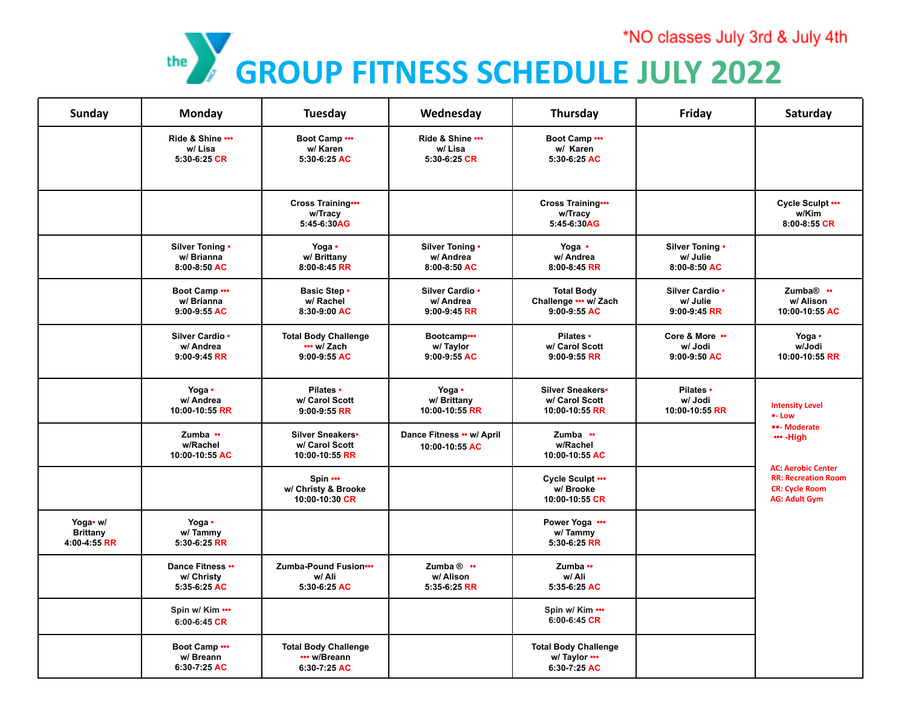

| <b>Sunday</b>                               | Monday                                         | Tuesday                                                     | Wednesday                                       | Thursday                                                     | Friday                                        | Saturday                                                                                                                                                                  |
|---------------------------------------------|------------------------------------------------|-------------------------------------------------------------|-------------------------------------------------|--------------------------------------------------------------|-----------------------------------------------|---------------------------------------------------------------------------------------------------------------------------------------------------------------------------|
|                                             | Ride & Shine<br>w/Lisa<br>5:30-6:25 CR         | Boot Camp<br>w/ Karen<br>5:30-6:25 AC                       | Ride & Shine<br>w/Lisa<br>5:30-6:25 CR          | Boot Camp<br>w/ Karen<br>5:30-6:25 AC                        |                                               |                                                                                                                                                                           |
|                                             |                                                | Cross Training<br>w/Tracy<br>5:45-6:30AG                    |                                                 | <b>Cross Training</b><br>w/Tracy<br>5:45-6:30AG              |                                               | Cycle Sculpt<br>w/Kim<br>8:00-8:55 CR                                                                                                                                     |
|                                             | Silver Toning .<br>w/ Brianna<br>8:00-8:50 AC  | Yoga •<br>w/ Brittany<br>8:00-8:45 RR                       | Silver Toning •<br>w/ Andrea<br>8:00-8:50 AC    | Yoga •<br>w/ Andrea<br>8:00-8:45 RR                          | Silver Toning .<br>w/ Julie<br>8:00-8:50 AC   |                                                                                                                                                                           |
|                                             | Boot Camp<br>w/ Brianna<br>9:00-9:55 AC        | <b>Basic Step •</b><br>w/ Rachel<br>8:30-9:00 AC            | Silver Cardio .<br>w/ Andrea<br>$9:00-9:45$ RR  | <b>Total Body</b><br>Challenge ••• w/ Zach<br>9:00-9:55 AC   | Silver Cardio .<br>w/ Julie<br>$9:00-9:45$ RR | Zumba <sup>®</sup> ••<br>w/ Alison<br>10:00-10:55 AC                                                                                                                      |
|                                             | Silver Cardio .<br>w/ Andrea<br>9:00-9:45 RR   | <b>Total Body Challenge</b><br>••• w/ Zach<br>9:00-9:55 AC  | Bootcamp<br>w/ Taylor<br>9:00-9:55 AC           | Pilates •<br>w/ Carol Scott<br>$9:00-9:55$ RR                | Core & More<br>w/ Jodi<br>9:00-9:50 AC        | Yoga •<br>w/Jodi<br>10:00-10:55 RR                                                                                                                                        |
|                                             | Yoga •<br>w/ Andrea<br>10:00-10:55 RR          | Pilates •<br>w/ Carol Scott<br>$9:00-9:55$ RR               | Yoga •<br>w/ Brittany<br>10:00-10:55 RR         | Silver Sneakers•<br>w/ Carol Scott<br>10:00-10:55 RR         | Pilates •<br>w/ Jodi<br>10:00-10:55 RR        | <b>Intensity Level</b><br>•- Low<br>••- Moderate<br>••• -High<br><b>AC: Aerobic Center</b><br><b>RR: Recreation Room</b><br><b>CR: Cycle Room</b><br><b>AG: Adult Gym</b> |
|                                             | Zumba ••<br>w/Rachel<br>10:00-10:55 AC         | Silver Sneakers•<br>w/ Carol Scott<br>10:00-10:55 RR        | Dance Fitness •• w/ April<br>10:00-10:55 AC     | Zumba $\cdots$<br>w/Rachel<br>10:00-10:55 AC                 |                                               |                                                                                                                                                                           |
|                                             |                                                | Spin<br>w/ Christy & Brooke<br>10:00-10:30 CR               |                                                 | Cycle Sculpt<br>w/ Brooke<br>10:00-10:55 CR                  |                                               |                                                                                                                                                                           |
| Yoga• w/<br><b>Brittany</b><br>4:00-4:55 RR | Yoga •<br>w/Tammy<br>5:30-6:25 RR              |                                                             |                                                 | Power Yoga<br>w/Tammy<br>5:30-6:25 RR                        |                                               |                                                                                                                                                                           |
|                                             | Dance Fitness ••<br>w/ Christy<br>5:35-6:25 AC | Zumba-Pound Fusion •••<br>w/ Ali<br>5:30-6:25 AC            | Zumba $@$ $\cdots$<br>w/ Alison<br>5:35-6:25 RR | Zumba $\cdots$<br>w/ Ali<br>5:35-6:25 AC                     |                                               |                                                                                                                                                                           |
|                                             | Spin w/ Kim •••<br>$6:00 - 6:45$ CR            |                                                             |                                                 | Spin w/ Kim •••<br>6:00-6:45 CR                              |                                               |                                                                                                                                                                           |
|                                             | Boot Camp<br>w/ Breann<br>6:30-7:25 AC         | <b>Total Body Challenge</b><br>••• w/Breann<br>6:30-7:25 AC |                                                 | <b>Total Body Challenge</b><br>w/ Taylor •••<br>6:30-7:25 AC |                                               |                                                                                                                                                                           |